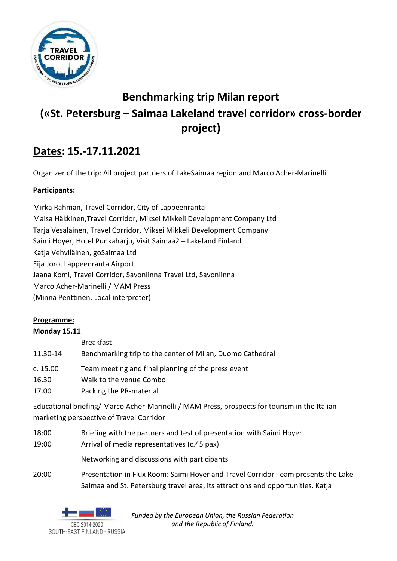

# **Benchmarking trip Milan report («St. Petersburg – Saimaa Lakeland travel corridor» cross-border project)**

## **Dates: 15.-17.11.2021**

Organizer of the trip: All project partners of LakeSaimaa region and Marco Acher-Marinelli

## **Participants:**

Mirka Rahman, Travel Corridor, City of Lappeenranta Maisa Häkkinen,Travel Corridor, Miksei Mikkeli Development Company Ltd Tarja Vesalainen, Travel Corridor, Miksei Mikkeli Development Company Saimi Hoyer, Hotel Punkaharju, Visit Saimaa2 – Lakeland Finland Katja Vehviläinen, goSaimaa Ltd Eija Joro, Lappeenranta Airport Jaana Komi, Travel Corridor, Savonlinna Travel Ltd, Savonlinna Marco Acher-Marinelli / MAM Press (Minna Penttinen, Local interpreter)

## **Programme:**

## **Monday 15.11**.

Breakfast

- 11.30-14 Benchmarking trip to the center of Milan, Duomo Cathedral
- c. 15.00 Team meeting and final planning of the press event
- 16.30 Walk to the venue Combo
- 17.00 Packing the PR-material

Educational briefing/ Marco Acher-Marinelli / MAM Press, prospects for tourism in the Italian marketing perspective of Travel Corridor

- 18:00 Briefing with the partners and test of presentation with Saimi Hoyer
- 19:00 Arrival of media representatives (c.45 pax)

Networking and discussions with participants

20:00 Presentation in Flux Room: Saimi Hoyer and Travel Corridor Team presents the Lake Saimaa and St. Petersburg travel area, its attractions and opportunities. Katja

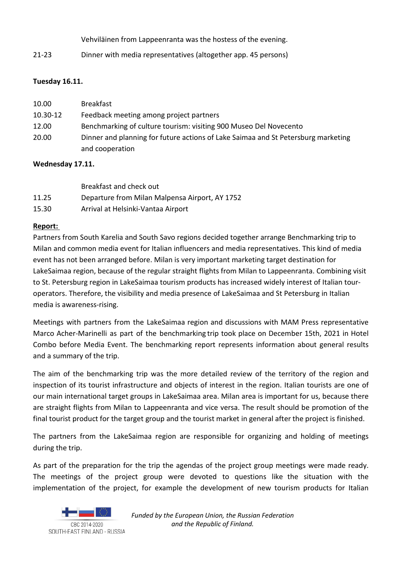Vehviläinen from Lappeenranta was the hostess of the evening.

21-23 Dinner with media representatives (altogether app. 45 persons)

### **Tuesday 16.11.**

| 10.00    | <b>Breakfast</b>                                                                  |
|----------|-----------------------------------------------------------------------------------|
| 10.30-12 | Feedback meeting among project partners                                           |
| 12.00    | Benchmarking of culture tourism: visiting 900 Museo Del Novecento                 |
| 20.00    | Dinner and planning for future actions of Lake Saimaa and St Petersburg marketing |
|          | and cooperation                                                                   |

#### **Wednesday 17.11.**

|       | Breakfast and check out                        |
|-------|------------------------------------------------|
| 11.25 | Departure from Milan Malpensa Airport, AY 1752 |
| 15.30 | Arrival at Helsinki-Vantaa Airport             |

#### **Report:**

Partners from South Karelia and South Savo regions decided together arrange Benchmarking trip to Milan and common media event for Italian influencers and media representatives. This kind of media event has not been arranged before. Milan is very important marketing target destination for LakeSaimaa region, because of the regular straight flights from Milan to Lappeenranta. Combining visit to St. Petersburg region in LakeSaimaa tourism products has increased widely interest of Italian touroperators. Therefore, the visibility and media presence of LakeSaimaa and St Petersburg in Italian media is awareness-rising.

Meetings with partners from the LakeSaimaa region and discussions with MAM Press representative Marco Acher-Marinelli as part of the benchmarking trip took place on December 15th, 2021 in Hotel Combo before Media Event. The benchmarking report represents information about general results and a summary of the trip.

The aim of the benchmarking trip was the more detailed review of the territory of the region and inspection of its tourist infrastructure and objects of interest in the region. Italian tourists are one of our main international target groups in LakeSaimaa area. Milan area is important for us, because there are straight flights from Milan to Lappeenranta and vice versa. The result should be promotion of the final tourist product for the target group and the tourist market in general after the project is finished.

The partners from the LakeSaimaa region are responsible for organizing and holding of meetings during the trip.

As part of the preparation for the trip the agendas of the project group meetings were made ready. The meetings of the project group were devoted to questions like the situation with the implementation of the project, for example the development of new tourism products for Italian

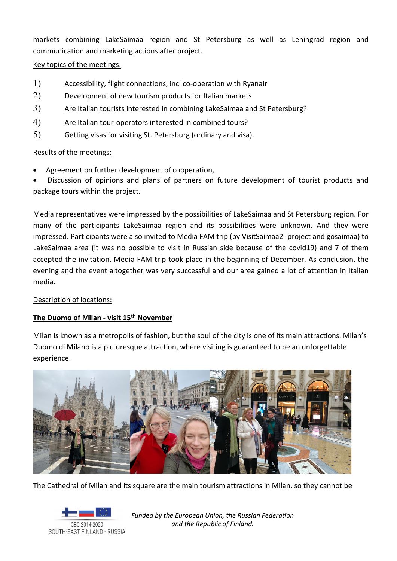markets combining LakeSaimaa region and St Petersburg as well as Leningrad region and communication and marketing actions after project.

#### Key topics of the meetings:

- 1) Accessibility, flight connections, incl co-operation with Ryanair
- 2) Development of new tourism products for Italian markets
- 3) Are Italian tourists interested in combining LakeSaimaa and St Petersburg?
- 4) Are Italian tour-operators interested in combined tours?
- 5) Getting visas for visiting St. Petersburg (ordinary and visa).

#### Results of the meetings:

Agreement on further development of cooperation,

• Discussion of opinions and plans of partners on future development of tourist products and package tours within the project.

Media representatives were impressed by the possibilities of LakeSaimaa and St Petersburg region. For many of the participants LakeSaimaa region and its possibilities were unknown. And they were impressed. Participants were also invited to Media FAM trip (by VisitSaimaa2 -project and gosaimaa) to LakeSaimaa area (it was no possible to visit in Russian side because of the covid19) and 7 of them accepted the invitation. Media FAM trip took place in the beginning of December. As conclusion, the evening and the event altogether was very successful and our area gained a lot of attention in Italian media.

#### Description of locations:

#### **The Duomo of Milan - visit 15th November**

Milan is known as a metropolis of fashion, but the soul of the city is one of its main attractions. Milan's Duomo di Milano is a picturesque attraction, where visiting is guaranteed to be an unforgettable experience.



The Cathedral of Milan and its square are the main tourism attractions in Milan, so they cannot be

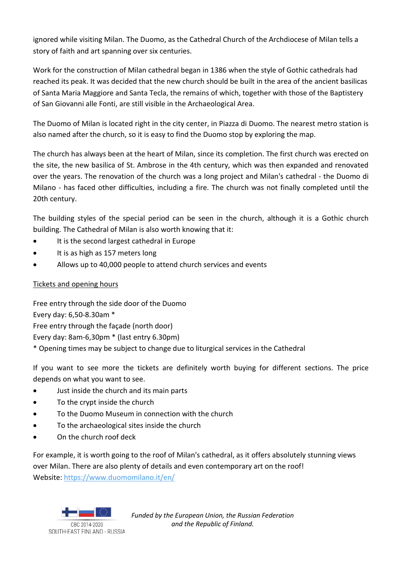ignored while visiting Milan. The Duomo, as the Cathedral Church of the Archdiocese of Milan tells a story of faith and art spanning over six centuries.

Work for the construction of Milan cathedral began in 1386 when the style of Gothic cathedrals had reached its peak. It was decided that the new church should be built in the area of the ancient basilicas of Santa Maria Maggiore and Santa Tecla, the remains of which, together with those of the Baptistery of San Giovanni alle Fonti, are still visible in the Archaeological Area.

The Duomo of Milan is located right in the city center, in Piazza di Duomo. The nearest metro station is also named after the church, so it is easy to find the Duomo stop by exploring the map.

The church has always been at the heart of Milan, since its completion. The first church was erected on the site, the new basilica of St. Ambrose in the 4th century, which was then expanded and renovated over the years. The renovation of the church was a long project and Milan's cathedral - the Duomo di Milano - has faced other difficulties, including a fire. The church was not finally completed until the 20th century.

The building styles of the special period can be seen in the church, although it is a Gothic church building. The Cathedral of Milan is also worth knowing that it:

- It is the second largest cathedral in Europe
- It is as high as 157 meters long
- Allows up to 40,000 people to attend church services and events

## Tickets and opening hours

Free entry through the side door of the Duomo Every day: 6,50-8.30am \* Free entry through the façade (north door) Every day: 8am-6,30pm \* (last entry 6.30pm) \* Opening times may be subject to change due to liturgical services in the Cathedral

If you want to see more the tickets are definitely worth buying for different sections. The price depends on what you want to see.

- Just inside the church and its main parts
- To the crypt inside the church
- To the Duomo Museum in connection with the church
- To the archaeological sites inside the church
- On the church roof deck

For example, it is worth going to the roof of Milan's cathedral, as it offers absolutely stunning views over Milan. There are also plenty of details and even contemporary art on the roof! Website: <https://www.duomomilano.it/en/>

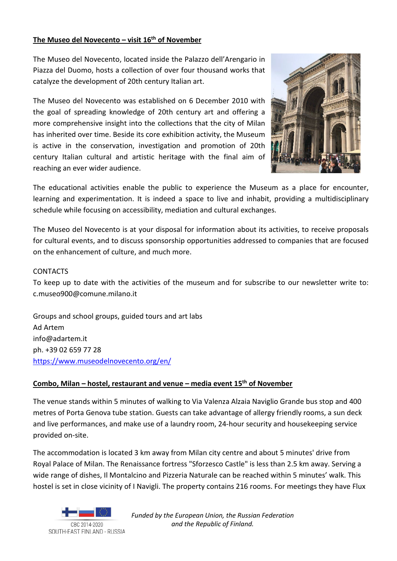#### **The Museo del Novecento – visit 16th of November**

The Museo del Novecento, located inside the Palazzo dell'Arengario in Piazza del Duomo, hosts a collection of over four thousand works that catalyze the development of 20th century Italian art.

The Museo del Novecento was established on 6 December 2010 with the goal of spreading knowledge of 20th century art and offering a more comprehensive insight into the collections that the city of Milan has inherited over time. Beside its core exhibition activity, the Museum is active in the conservation, investigation and promotion of 20th century Italian cultural and artistic heritage with the final aim of reaching an ever wider audience.



The educational activities enable the public to experience the Museum as a place for encounter, learning and experimentation. It is indeed a space to live and inhabit, providing a multidisciplinary schedule while focusing on accessibility, mediation and cultural exchanges.

The Museo del Novecento is at your disposal for information about its activities, to receive proposals for cultural events, and to discuss sponsorship opportunities addressed to companies that are focused on the enhancement of culture, and much more.

#### CONTACTS

To keep up to date with the activities of the museum and for subscribe to our newsletter write to: c.museo900@comune.milano.it

Groups and school groups, guided tours and art labs Ad Artem info@adartem.it ph. +39 02 659 77 28 <https://www.museodelnovecento.org/en/>

#### **Combo, Milan – hostel, restaurant and venue – media event 15th of November**

The venue stands within 5 minutes of walking to Via Valenza Alzaia Naviglio Grande bus stop and 400 metres of Porta Genova tube station. Guests can take advantage of allergy friendly rooms, a sun deck and live performances, and make use of a laundry room, 24-hour security and housekeeping service provided on-site.

The accommodation is located 3 km away from Milan city centre and about 5 minutes' drive from Royal Palace of Milan. The Renaissance fortress "Sforzesco Castle" is less than 2.5 km away. Serving a wide range of dishes, Il Montalcino and Pizzeria Naturale can be reached within 5 minutes' walk. This hostel is set in close vicinity of I Navigli. The property contains 216 rooms. For meetings they have Flux

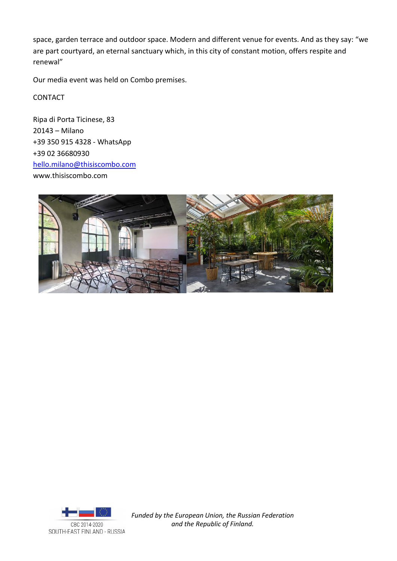space, garden terrace and outdoor space. Modern and different venue for events. And as they say: "we are part courtyard, an eternal sanctuary which, in this city of constant motion, offers respite and renewal"

Our media event was held on Combo premises.

CONTACT

Ripa di Porta Ticinese, 83 20143 – Milano +39 350 915 4328 - WhatsApp +39 02 36680930 [hello.milano@thisiscombo.com](mailto:hello.milano@thisiscombo.com) www.thisiscombo.com